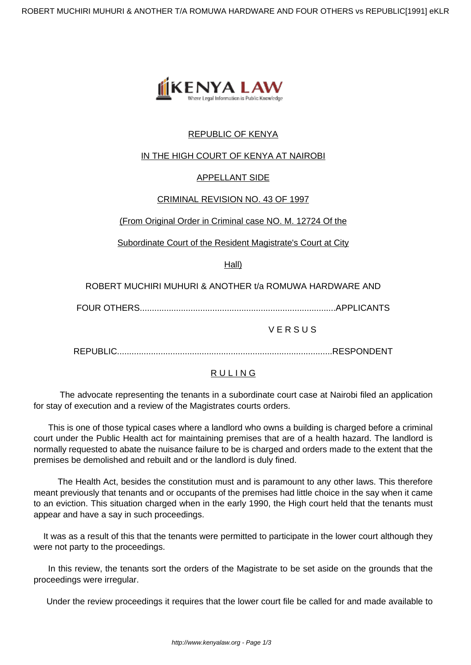

# REPUBLIC OF KENYA

### IN THE HIGH COURT OF KENYA AT NAIROBI

#### APPELLANT SIDE

#### CRIMINAL REVISION NO. 43 OF 1997

#### (From Original Order in Criminal case NO. M. 12724 Of the

Subordinate Court of the Resident Magistrate's Court at City

Hall)

ROBERT MUCHIRI MUHURI & ANOTHER t/a ROMUWA HARDWARE AND

FOUR OTHERS.................................................................................APPLICANTS

**VERSUS** 

REPUBLIC.........................................................................................RESPONDENT

## **RULING**

 The advocate representing the tenants in a subordinate court case at Nairobi filed an application for stay of execution and a review of the Magistrates courts orders.

 This is one of those typical cases where a landlord who owns a building is charged before a criminal court under the Public Health act for maintaining premises that are of a health hazard. The landlord is normally requested to abate the nuisance failure to be is charged and orders made to the extent that the premises be demolished and rebuilt and or the landlord is duly fined.

The Health Act, besides the constitution must and is paramount to any other laws. This therefore meant previously that tenants and or occupants of the premises had little choice in the say when it came to an eviction. This situation charged when in the early 1990, the High court held that the tenants must appear and have a say in such proceedings.

 It was as a result of this that the tenants were permitted to participate in the lower court although they were not party to the proceedings.

In this review, the tenants sort the orders of the Magistrate to be set aside on the grounds that the proceedings were irregular.

Under the review proceedings it requires that the lower court file be called for and made available to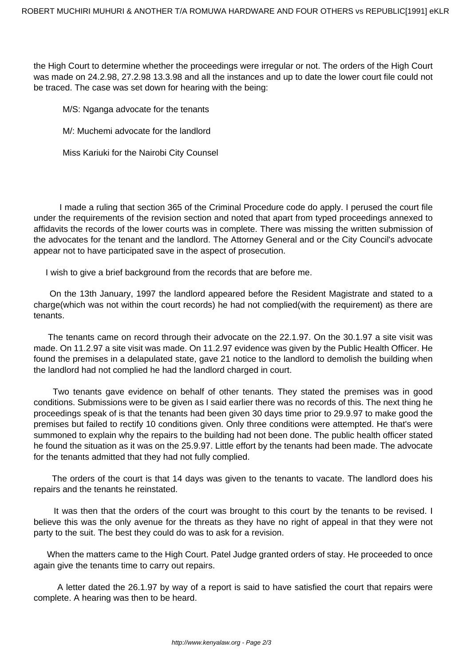the High Court to determine whether the proceedings were irregular or not. The orders of the High Court was made on 24.2.98, 27.2.98 13.3.98 and all the instances and up to date the lower court file could not be traced. The case was set down for hearing with the being:

M/S: Nganga advocate for the tenants

M/: Muchemi advocate for the landlord

Miss Kariuki for the Nairobi City Counsel

 I made a ruling that section 365 of the Criminal Procedure code do apply. I perused the court file under the requirements of the revision section and noted that apart from typed proceedings annexed to affidavits the records of the lower courts was in complete. There was missing the written submission of the advocates for the tenant and the landlord. The Attorney General and or the City Council's advocate appear not to have participated save in the aspect of prosecution.

I wish to give a brief background from the records that are before me.

On the 13th January, 1997 the landlord appeared before the Resident Magistrate and stated to a charge(which was not within the court records) he had not complied(with the requirement) as there are tenants.

The tenants came on record through their advocate on the 22.1.97. On the 30.1.97 a site visit was made. On 11.2.97 a site visit was made. On 11.2.97 evidence was given by the Public Health Officer. He found the premises in a delapulated state, gave 21 notice to the landlord to demolish the building when the landlord had not complied he had the landlord charged in court.

Two tenants gave evidence on behalf of other tenants. They stated the premises was in good conditions. Submissions were to be given as I said earlier there was no records of this. The next thing he proceedings speak of is that the tenants had been given 30 days time prior to 29.9.97 to make good the premises but failed to rectify 10 conditions given. Only three conditions were attempted. He that's were summoned to explain why the repairs to the building had not been done. The public health officer stated he found the situation as it was on the 25.9.97. Little effort by the tenants had been made. The advocate for the tenants admitted that they had not fully complied.

 The orders of the court is that 14 days was given to the tenants to vacate. The landlord does his repairs and the tenants he reinstated.

It was then that the orders of the court was brought to this court by the tenants to be revised. I believe this was the only avenue for the threats as they have no right of appeal in that they were not party to the suit. The best they could do was to ask for a revision.

 When the matters came to the High Court. Patel Judge granted orders of stay. He proceeded to once again give the tenants time to carry out repairs.

 A letter dated the 26.1.97 by way of a report is said to have satisfied the court that repairs were complete. A hearing was then to be heard.